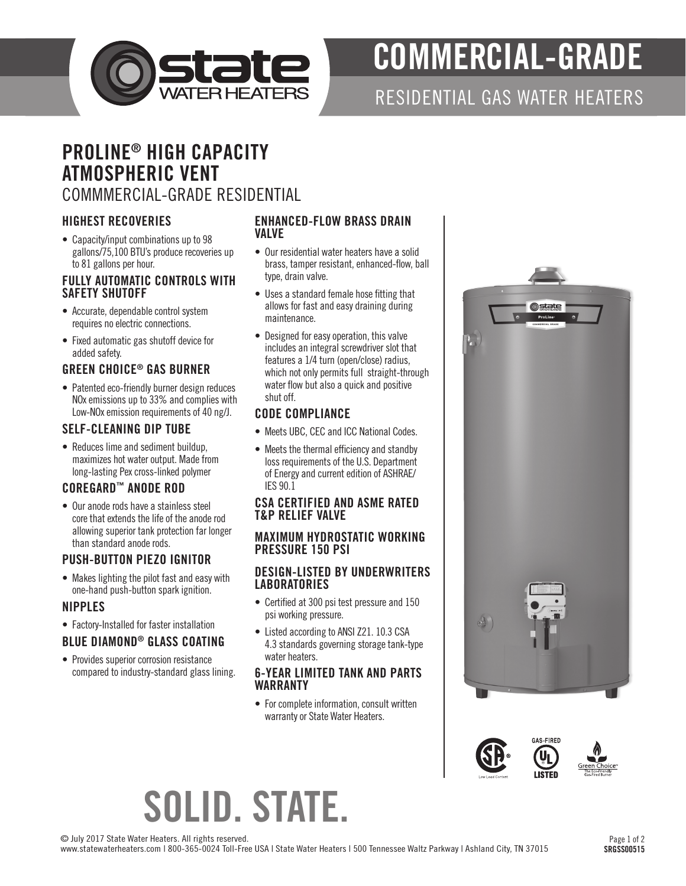

# COMMERCIAL-GRADE

### RESIDENTIAL GAS WATER HEATERS

### PROLINE® HIGH CAPACITY ATMOSPHERIC VENT COMMMERCIAL-GRADE RESIDENTIAL

#### HIGHEST RECOVERIES

• Capacity/input combinations up to 98 gallons/75,100 BTU's produce recoveries up to 81 gallons per hour.

#### FULLY AUTOMATIC CONTROLS WITH SAFETY SHUTOFF

- Accurate, dependable control system requires no electric connections.
- Fixed automatic gas shutoff device for added safety.

#### GREEN CHOICE® GAS BURNER

• Patented eco-friendly burner design reduces NOx emissions up to 33% and complies with Low-NOx emission requirements of 40 ng/J.

#### SELF-CLEANING DIP TUBE

• Reduces lime and sediment buildup, maximizes hot water output. Made from long-lasting Pex cross-linked polymer

#### COREGARD™ ANODE ROD

• Our anode rods have a stainless steel core that extends the life of the anode rod allowing superior tank protection far longer than standard anode rods.

#### PUSH-BUTTON PIEZO IGNITOR

• Makes lighting the pilot fast and easy with one-hand push-button spark ignition.

#### NIPPLES

• Factory-Installed for faster installation

#### BLUE DIAMOND® GLASS COATING

• Provides superior corrosion resistance compared to industry-standard glass lining.

#### ENHANCED-FLOW BRASS DRAIN **VAI VF**

- Our residential water heaters have a solid brass, tamper resistant, enhanced-flow, ball type, drain valve.
- Uses a standard female hose fitting that allows for fast and easy draining during maintenance.
- Designed for easy operation, this valve includes an integral screwdriver slot that features a 1/4 turn (open/close) radius, which not only permits full straight-through water flow but also a quick and positive shut off.

#### CODE COMPLIANCE

- Meets UBC, CEC and ICC National Codes.
- Meets the thermal efficiency and standby loss requirements of the U.S. Department of Energy and current edition of ASHRAE/ IES 90.1

#### CSA CERTIFIED AND ASME RATED T&P RELIEF VALVE

#### MAXIMUM HYDROSTATIC WORKING PRESSURE 150 PSI

#### DESIGN-LISTED BY UNDERWRITERS **LABORATORIES**

- Certified at 300 psi test pressure and 150 psi working pressure.
- Listed according to ANSI Z21. 10.3 CSA 4.3 standards governing storage tank-type water heaters.

#### 6-YEAR LIMITED TANK AND PARTS WARRANTY

• For complete information, consult written warranty or State Water Heaters.





# SOLID. STATE.